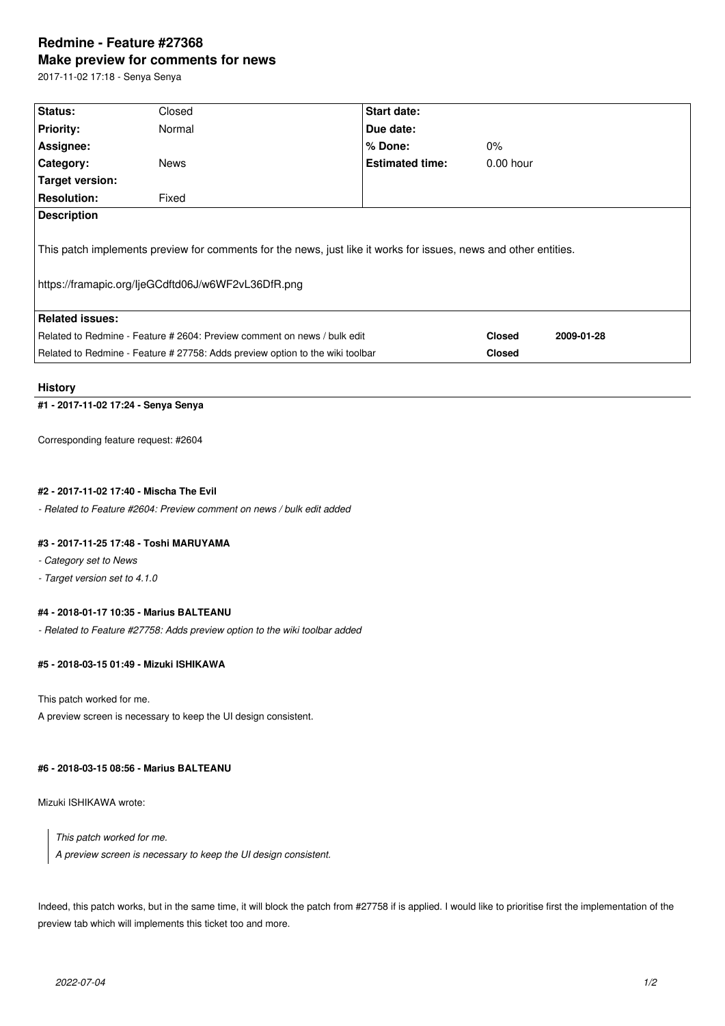# **Redmine - Feature #27368 Make preview for comments for news**

2017-11-02 17:18 - Senya Senya

| Status:                                                                                                          | Closed      | <b>Start date:</b>     |               |            |  |  |
|------------------------------------------------------------------------------------------------------------------|-------------|------------------------|---------------|------------|--|--|
| <b>Priority:</b>                                                                                                 | Normal      | Due date:              |               |            |  |  |
| Assignee:                                                                                                        |             | $%$ Done:              | $0\%$         |            |  |  |
| <b>Category:</b>                                                                                                 | <b>News</b> | <b>Estimated time:</b> | $0.00$ hour   |            |  |  |
| Target version:                                                                                                  |             |                        |               |            |  |  |
| <b>Resolution:</b>                                                                                               | Fixed       |                        |               |            |  |  |
| <b>Description</b>                                                                                               |             |                        |               |            |  |  |
|                                                                                                                  |             |                        |               |            |  |  |
| This patch implements preview for comments for the news, just like it works for issues, news and other entities. |             |                        |               |            |  |  |
|                                                                                                                  |             |                        |               |            |  |  |
| https://framapic.org/ljeGCdftd06J/w6WF2vL36DfR.png                                                               |             |                        |               |            |  |  |
|                                                                                                                  |             |                        |               |            |  |  |
| Related issues:                                                                                                  |             |                        |               |            |  |  |
| Related to Redmine - Feature # 2604: Preview comment on news / bulk edit                                         |             |                        | <b>Closed</b> | 2009-01-28 |  |  |
| Related to Redmine - Feature # 27758: Adds preview option to the wiki toolbar                                    |             |                        | <b>Closed</b> |            |  |  |
|                                                                                                                  |             |                        |               |            |  |  |

#### **History**

# **#1 - 2017-11-02 17:24 - Senya Senya**

Corresponding feature request: #2604

### **#2 - 2017-11-02 17:40 - Mischa The Evil**

*- Related to Feature #2604: Preview comment on news / bulk edit added*

#### **#3 - 2017-11-25 17:48 - Toshi MARUYAMA**

- *Category set to News*
- *Target version set to 4.1.0*

#### **#4 - 2018-01-17 10:35 - Marius BALTEANU**

*- Related to Feature #27758: Adds preview option to the wiki toolbar added*

#### **#5 - 2018-03-15 01:49 - Mizuki ISHIKAWA**

This patch worked for me.

A preview screen is necessary to keep the UI design consistent.

# **#6 - 2018-03-15 08:56 - Marius BALTEANU**

Mizuki ISHIKAWA wrote:

*This patch worked for me. A preview screen is necessary to keep the UI design consistent.*

Indeed, this patch works, but in the same time, it will block the patch from #27758 if is applied. I would like to prioritise first the implementation of the preview tab which will implements this ticket too and more.